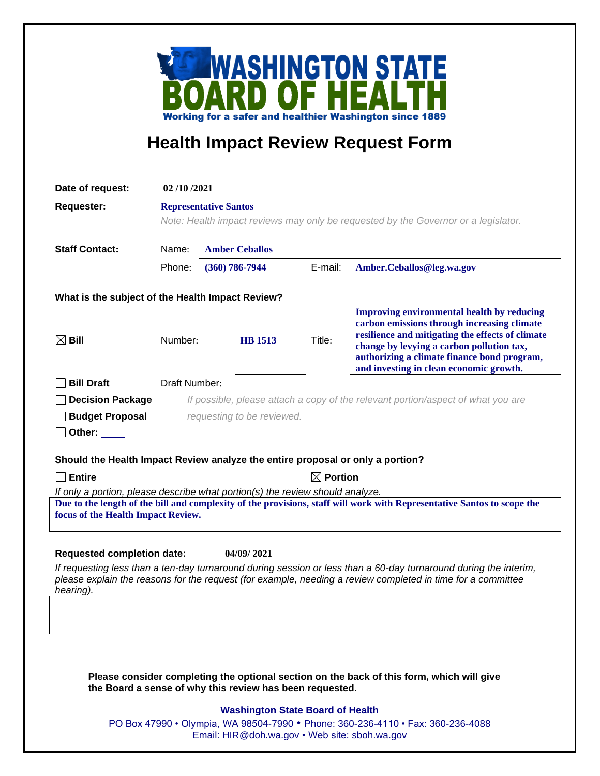

## **Health Impact Review Request Form**

| Date of request:                                                                                                                                              | 02/10/2021                                                                         |                       |         |                                                                                                 |
|---------------------------------------------------------------------------------------------------------------------------------------------------------------|------------------------------------------------------------------------------------|-----------------------|---------|-------------------------------------------------------------------------------------------------|
| <b>Requester:</b>                                                                                                                                             | <b>Representative Santos</b>                                                       |                       |         |                                                                                                 |
|                                                                                                                                                               | Note: Health impact reviews may only be requested by the Governor or a legislator. |                       |         |                                                                                                 |
| <b>Staff Contact:</b>                                                                                                                                         | Name:                                                                              | <b>Amber Ceballos</b> |         |                                                                                                 |
|                                                                                                                                                               | Phone:                                                                             | $(360)$ 786-7944      | E-mail: | Amber.Ceballos@leg.wa.gov                                                                       |
|                                                                                                                                                               |                                                                                    |                       |         |                                                                                                 |
| What is the subject of the Health Impact Review?                                                                                                              |                                                                                    |                       |         |                                                                                                 |
|                                                                                                                                                               |                                                                                    |                       |         | <b>Improving environmental health by reducing</b>                                               |
|                                                                                                                                                               |                                                                                    |                       |         | carbon emissions through increasing climate<br>resilience and mitigating the effects of climate |
| $\boxtimes$ Bill                                                                                                                                              | Number:                                                                            | <b>HB</b> 1513        | Title:  | change by levying a carbon pollution tax,                                                       |
|                                                                                                                                                               |                                                                                    |                       |         | authorizing a climate finance bond program,                                                     |
| <b>Bill Draft</b>                                                                                                                                             | Draft Number:                                                                      |                       |         | and investing in clean economic growth.                                                         |
| <b>Decision Package</b>                                                                                                                                       | If possible, please attach a copy of the relevant portion/aspect of what you are   |                       |         |                                                                                                 |
| <b>Budget Proposal</b>                                                                                                                                        | requesting to be reviewed.                                                         |                       |         |                                                                                                 |
| Other: $\_\_$                                                                                                                                                 |                                                                                    |                       |         |                                                                                                 |
|                                                                                                                                                               |                                                                                    |                       |         |                                                                                                 |
| Should the Health Impact Review analyze the entire proposal or only a portion?                                                                                |                                                                                    |                       |         |                                                                                                 |
| <b>Entire</b>                                                                                                                                                 | $\boxtimes$ Portion                                                                |                       |         |                                                                                                 |
| If only a portion, please describe what portion(s) the review should analyze.                                                                                 |                                                                                    |                       |         |                                                                                                 |
| Due to the length of the bill and complexity of the provisions, staff will work with Representative Santos to scope the<br>focus of the Health Impact Review. |                                                                                    |                       |         |                                                                                                 |
|                                                                                                                                                               |                                                                                    |                       |         |                                                                                                 |
| <b>Requested completion date:</b><br>04/09/2021                                                                                                               |                                                                                    |                       |         |                                                                                                 |
| If requesting less than a ten-day turnaround during session or less than a 60-day turnaround during the interim,                                              |                                                                                    |                       |         |                                                                                                 |
| please explain the reasons for the request (for example, needing a review completed in time for a committee<br>hearing).                                      |                                                                                    |                       |         |                                                                                                 |
|                                                                                                                                                               |                                                                                    |                       |         |                                                                                                 |
|                                                                                                                                                               |                                                                                    |                       |         |                                                                                                 |
|                                                                                                                                                               |                                                                                    |                       |         |                                                                                                 |
|                                                                                                                                                               |                                                                                    |                       |         |                                                                                                 |
|                                                                                                                                                               |                                                                                    |                       |         |                                                                                                 |
| Please consider completing the optional section on the back of this form, which will give<br>the Board a sense of why this review has been requested.         |                                                                                    |                       |         |                                                                                                 |
| <b>Washington State Board of Health</b>                                                                                                                       |                                                                                    |                       |         |                                                                                                 |
|                                                                                                                                                               | PO Box 47990 • Olympia, WA 98504-7990 • Phone: 360-236-4110 • Fax: 360-236-4088    |                       |         |                                                                                                 |
| Email: HIR@doh.wa.gov • Web site: sboh.wa.gov                                                                                                                 |                                                                                    |                       |         |                                                                                                 |